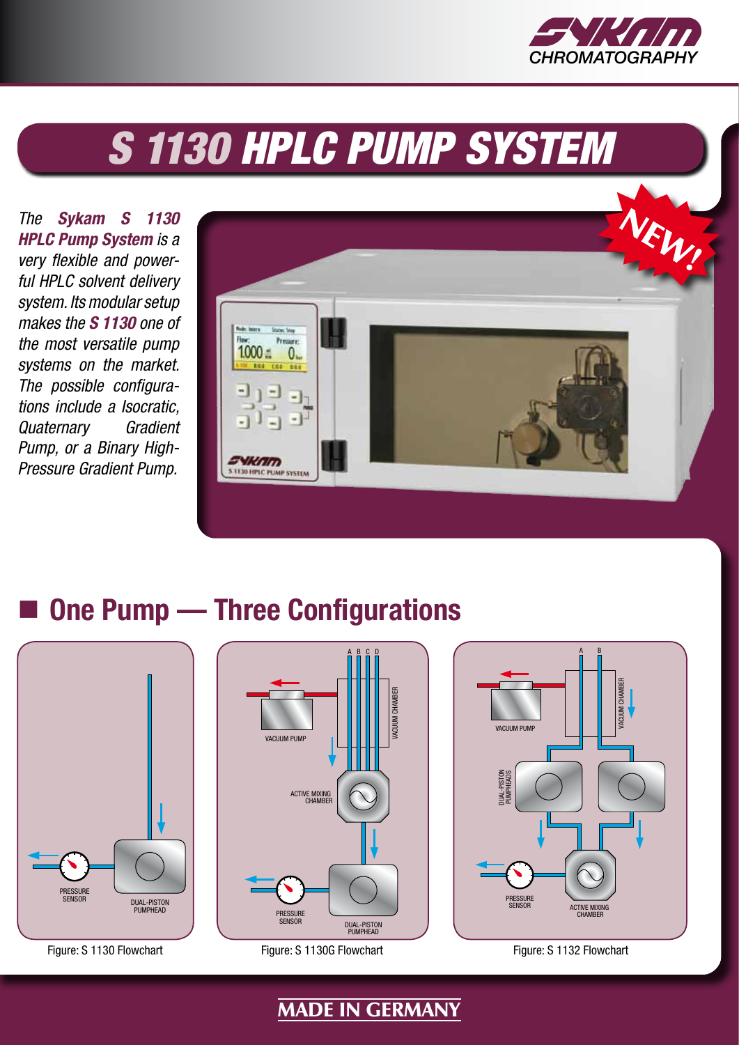

# **S 1130 HPLC PUMP SYSTEM**

*The Sykam S 1130 HPLC Pump System is a very flexible and powerful HPLC solvent delivery system. Its modular setup makes the S 1130 one of the most versatile pump systems on the market. The possible configurations include a Isocratic, Quaternary Gradient Pump, or a Binary High-Pressure Gradient Pump.*



# **One Pump — Three Configurations**





Figure: S 1130 Flowchart Figure: S 1130G Flowchart Figure: S 1132 Flowchart



MADE IN GERMANY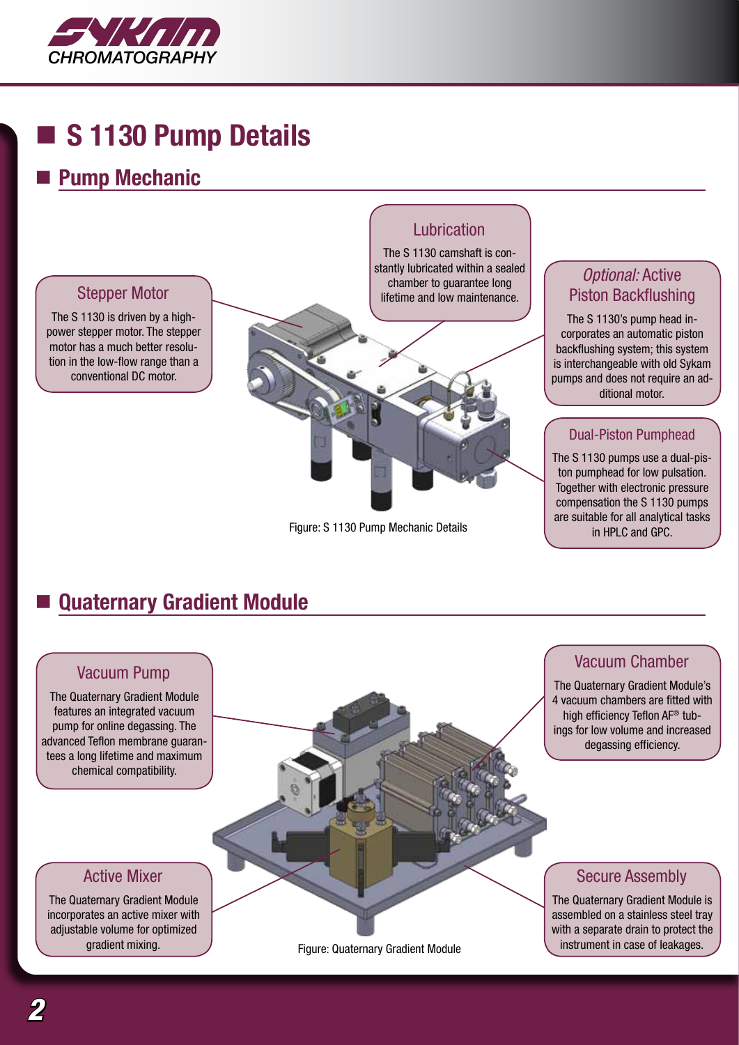

# **S 1130 Pump Details**

### **Pump Mechanic**



#### Figure: S 1130 Pump Mechanic Details

is interchangeable with old Sykam pumps and does not require an ad-

compensation the S 1130 pumps are suitable for all analytical tasks in HPLC and GPC.

# **Quaternary Gradient Module**

#### Vacuum Pump

The Quaternary Gradient Module features an integrated vacuum pump for online degassing. The tees a long lifetime and maximum

advanced Teflon membrane guaranchemical compatibility.

#### Active Mixer

The Quaternary Gradient Module incorporates an active mixer with adjustable volume for optimized gradient mixing.

Figure: Quaternary Gradient Module

### Vacuum Chamber

The Quaternary Gradient Module's 4 vacuum chambers are fitted with high efficiency Teflon AF® tubings for low volume and increased degassing efficiency.

#### Secure Assembly

The Quaternary Gradient Module is assembled on a stainless steel tray with a separate drain to protect the instrument in case of leakages.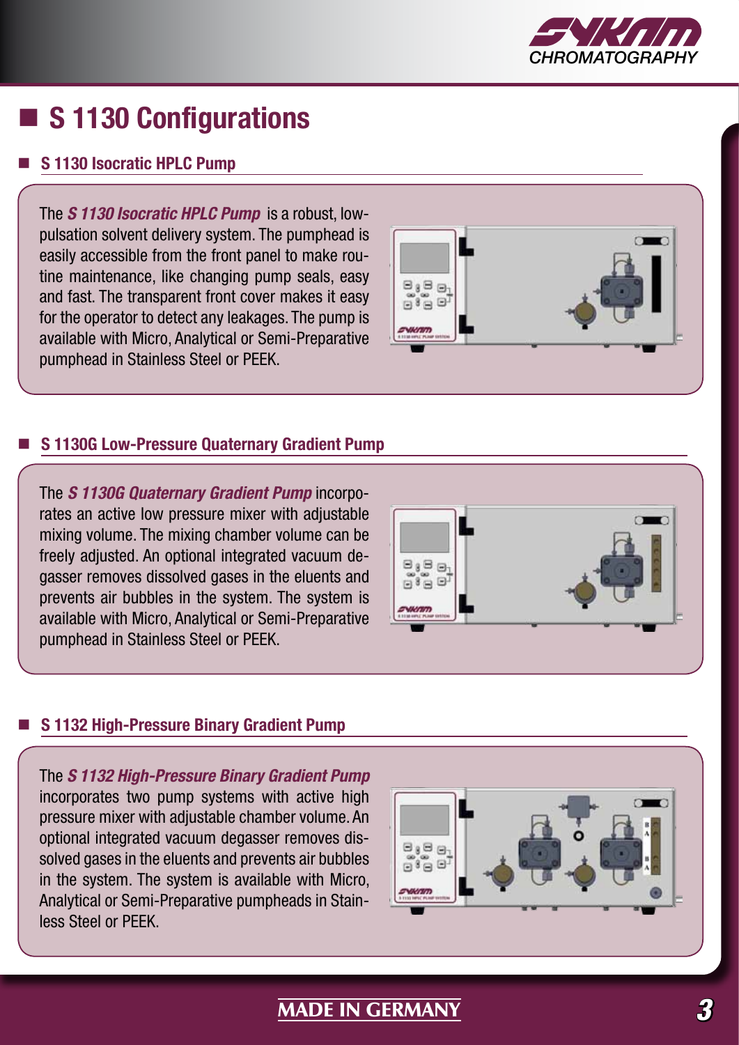

# **S 1130 Configurations**

#### **S 1130 Isocratic HPLC Pump**

The *S 1130 Isocratic HPLC Pump* is a robust, lowpulsation solvent delivery system. The pumphead is easily accessible from the front panel to make routine maintenance, like changing pump seals, easy and fast. The transparent front cover makes it easy for the operator to detect any leakages. The pump is available with Micro, Analytical or Semi-Preparative pumphead in Stainless Steel or PEEK.



#### **S 1130G Low-Pressure Quaternary Gradient Pump**

The *S 1130G Quaternary Gradient Pump* incorporates an active low pressure mixer with adjustable mixing volume. The mixing chamber volume can be freely adjusted. An optional integrated vacuum degasser removes dissolved gases in the eluents and prevents air bubbles in the system. The system is available with Micro, Analytical or Semi-Preparative pumphead in Stainless Steel or PEEK.



#### **S 1132 High-Pressure Binary Gradient Pump**

The *S 1132 High-Pressure Binary Gradient Pump* incorporates two pump systems with active high pressure mixer with adjustable chamber volume. An optional integrated vacuum degasser removes dissolved gases in the eluents and prevents air bubbles in the system. The system is available with Micro, Analytical or Semi-Preparative pumpheads in Stainless Steel or PEEK.



### MADE IN GERMANY